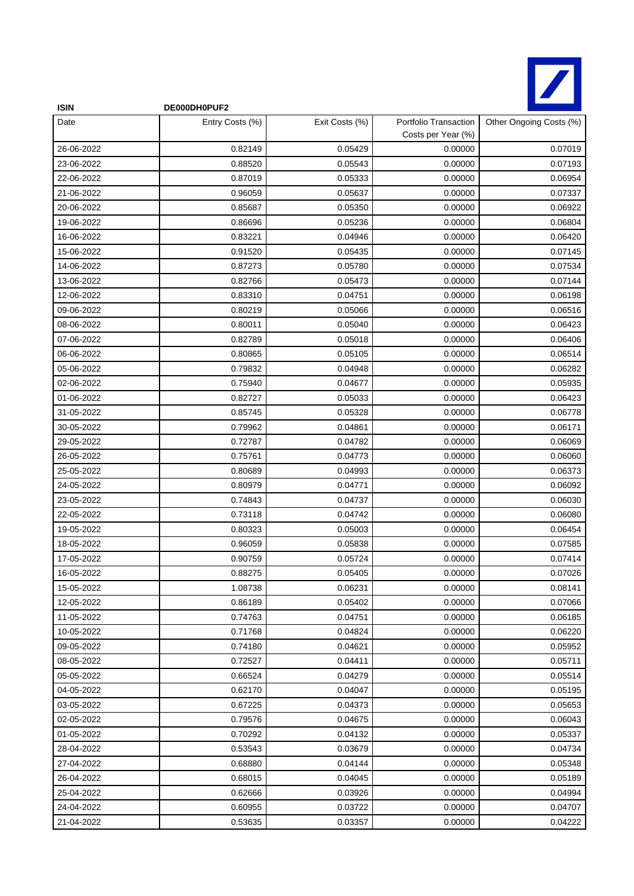

| <b>ISIN</b> | DE000DH0PUF2    |                |                                             |                         |
|-------------|-----------------|----------------|---------------------------------------------|-------------------------|
| Date        | Entry Costs (%) | Exit Costs (%) | Portfolio Transaction<br>Costs per Year (%) | Other Ongoing Costs (%) |
| 26-06-2022  | 0.82149         | 0.05429        | 0.00000                                     | 0.07019                 |
| 23-06-2022  | 0.88520         | 0.05543        | 0.00000                                     | 0.07193                 |
| 22-06-2022  | 0.87019         | 0.05333        | 0.00000                                     | 0.06954                 |
| 21-06-2022  | 0.96059         | 0.05637        | 0.00000                                     | 0.07337                 |
| 20-06-2022  | 0.85687         | 0.05350        | 0.00000                                     | 0.06922                 |
| 19-06-2022  | 0.86696         | 0.05236        | 0.00000                                     | 0.06804                 |
| 16-06-2022  | 0.83221         | 0.04946        | 0.00000                                     | 0.06420                 |
| 15-06-2022  | 0.91520         | 0.05435        | 0.00000                                     | 0.07145                 |
| 14-06-2022  | 0.87273         | 0.05780        | 0.00000                                     | 0.07534                 |
| 13-06-2022  | 0.82766         | 0.05473        | 0.00000                                     | 0.07144                 |
| 12-06-2022  | 0.83310         | 0.04751        | 0.00000                                     | 0.06198                 |
| 09-06-2022  | 0.80219         | 0.05066        | 0.00000                                     | 0.06516                 |
| 08-06-2022  | 0.80011         | 0.05040        | 0.00000                                     | 0.06423                 |
| 07-06-2022  | 0.82789         | 0.05018        | 0.00000                                     | 0.06406                 |
| 06-06-2022  | 0.80865         | 0.05105        | 0.00000                                     | 0.06514                 |
| 05-06-2022  | 0.79832         | 0.04948        | 0.00000                                     | 0.06282                 |
| 02-06-2022  | 0.75940         | 0.04677        | 0.00000                                     | 0.05935                 |
| 01-06-2022  | 0.82727         | 0.05033        | 0.00000                                     | 0.06423                 |
| 31-05-2022  | 0.85745         | 0.05328        | 0.00000                                     | 0.06778                 |
| 30-05-2022  | 0.79962         | 0.04861        | 0.00000                                     | 0.06171                 |
| 29-05-2022  | 0.72787         | 0.04782        | 0.00000                                     | 0.06069                 |
| 26-05-2022  | 0.75761         | 0.04773        | 0.00000                                     | 0.06060                 |
| 25-05-2022  | 0.80689         | 0.04993        | 0.00000                                     | 0.06373                 |
| 24-05-2022  | 0.80979         | 0.04771        | 0.00000                                     | 0.06092                 |
| 23-05-2022  | 0.74843         | 0.04737        | 0.00000                                     | 0.06030                 |
| 22-05-2022  | 0.73118         | 0.04742        | 0.00000                                     | 0.06080                 |
| 19-05-2022  | 0.80323         | 0.05003        | 0.00000                                     | 0.06454                 |
| 18-05-2022  | 0.96059         | 0.05838        | 0.00000                                     | 0.07585                 |
| 17-05-2022  | 0.90759         | 0.05724        | 0.00000                                     | 0.07414                 |
| 16-05-2022  | 0.88275         | 0.05405        | 0.00000                                     | 0.07026                 |
| 15-05-2022  | 1.08738         | 0.06231        | 0.00000                                     | 0.08141                 |
| 12-05-2022  | 0.86189         | 0.05402        | 0.00000                                     | 0.07066                 |
| 11-05-2022  | 0.74763         | 0.04751        | 0.00000                                     | 0.06185                 |
| 10-05-2022  | 0.71768         | 0.04824        | 0.00000                                     | 0.06220                 |
| 09-05-2022  | 0.74180         | 0.04621        | 0.00000                                     | 0.05952                 |
| 08-05-2022  | 0.72527         | 0.04411        | 0.00000                                     | 0.05711                 |
| 05-05-2022  | 0.66524         | 0.04279        | 0.00000                                     | 0.05514                 |
| 04-05-2022  | 0.62170         | 0.04047        | 0.00000                                     | 0.05195                 |
| 03-05-2022  | 0.67225         | 0.04373        | 0.00000                                     | 0.05653                 |
| 02-05-2022  | 0.79576         | 0.04675        | 0.00000                                     | 0.06043                 |
| 01-05-2022  | 0.70292         | 0.04132        | 0.00000                                     | 0.05337                 |
| 28-04-2022  | 0.53543         | 0.03679        | 0.00000                                     | 0.04734                 |
| 27-04-2022  | 0.68880         | 0.04144        | 0.00000                                     | 0.05348                 |
| 26-04-2022  | 0.68015         | 0.04045        | 0.00000                                     | 0.05189                 |
| 25-04-2022  | 0.62666         | 0.03926        | 0.00000                                     | 0.04994                 |
| 24-04-2022  | 0.60955         | 0.03722        | 0.00000                                     | 0.04707                 |
| 21-04-2022  | 0.53635         | 0.03357        | 0.00000                                     | 0.04222                 |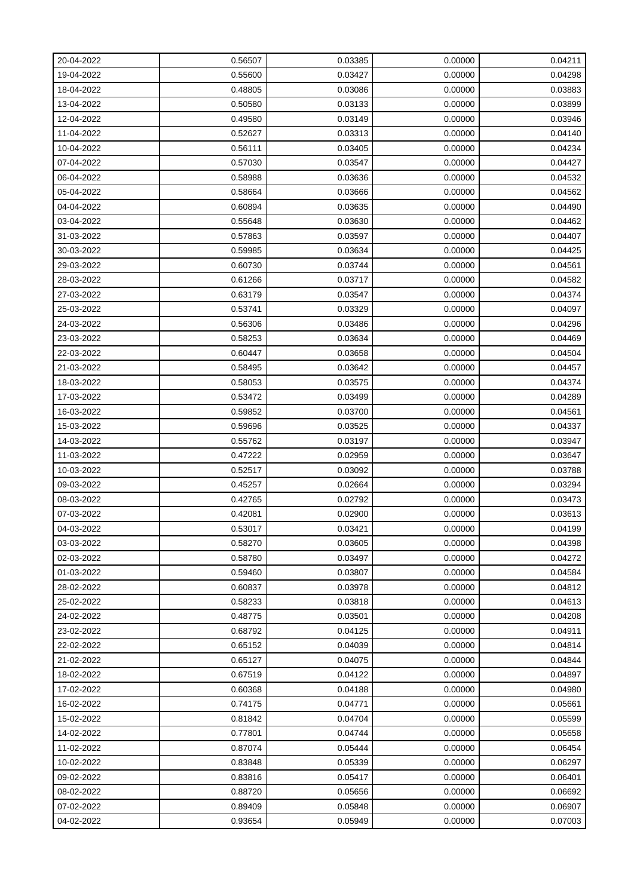| 20-04-2022 | 0.56507 | 0.03385 | 0.00000 | 0.04211 |
|------------|---------|---------|---------|---------|
| 19-04-2022 | 0.55600 | 0.03427 | 0.00000 | 0.04298 |
| 18-04-2022 | 0.48805 | 0.03086 | 0.00000 | 0.03883 |
| 13-04-2022 | 0.50580 | 0.03133 | 0.00000 | 0.03899 |
| 12-04-2022 | 0.49580 | 0.03149 | 0.00000 | 0.03946 |
| 11-04-2022 | 0.52627 | 0.03313 | 0.00000 | 0.04140 |
| 10-04-2022 | 0.56111 | 0.03405 | 0.00000 | 0.04234 |
| 07-04-2022 | 0.57030 | 0.03547 | 0.00000 | 0.04427 |
| 06-04-2022 | 0.58988 | 0.03636 | 0.00000 | 0.04532 |
| 05-04-2022 | 0.58664 | 0.03666 | 0.00000 | 0.04562 |
| 04-04-2022 | 0.60894 | 0.03635 | 0.00000 | 0.04490 |
| 03-04-2022 | 0.55648 | 0.03630 | 0.00000 | 0.04462 |
| 31-03-2022 | 0.57863 | 0.03597 | 0.00000 | 0.04407 |
| 30-03-2022 | 0.59985 | 0.03634 | 0.00000 | 0.04425 |
| 29-03-2022 | 0.60730 | 0.03744 | 0.00000 | 0.04561 |
| 28-03-2022 | 0.61266 | 0.03717 | 0.00000 | 0.04582 |
| 27-03-2022 | 0.63179 | 0.03547 | 0.00000 | 0.04374 |
| 25-03-2022 | 0.53741 | 0.03329 | 0.00000 | 0.04097 |
| 24-03-2022 | 0.56306 | 0.03486 | 0.00000 | 0.04296 |
| 23-03-2022 | 0.58253 | 0.03634 | 0.00000 | 0.04469 |
| 22-03-2022 | 0.60447 | 0.03658 | 0.00000 | 0.04504 |
| 21-03-2022 | 0.58495 | 0.03642 | 0.00000 | 0.04457 |
| 18-03-2022 | 0.58053 | 0.03575 | 0.00000 | 0.04374 |
| 17-03-2022 | 0.53472 | 0.03499 | 0.00000 | 0.04289 |
| 16-03-2022 | 0.59852 | 0.03700 | 0.00000 | 0.04561 |
| 15-03-2022 | 0.59696 | 0.03525 | 0.00000 | 0.04337 |
| 14-03-2022 | 0.55762 | 0.03197 | 0.00000 | 0.03947 |
| 11-03-2022 | 0.47222 | 0.02959 | 0.00000 | 0.03647 |
| 10-03-2022 | 0.52517 | 0.03092 | 0.00000 | 0.03788 |
| 09-03-2022 | 0.45257 | 0.02664 | 0.00000 | 0.03294 |
| 08-03-2022 | 0.42765 | 0.02792 | 0.00000 | 0.03473 |
| 07-03-2022 | 0.42081 | 0.02900 | 0.00000 | 0.03613 |
| 04-03-2022 | 0.53017 | 0.03421 | 0.00000 | 0.04199 |
| 03-03-2022 | 0.58270 | 0.03605 | 0.00000 | 0.04398 |
| 02-03-2022 | 0.58780 | 0.03497 | 0.00000 | 0.04272 |
| 01-03-2022 | 0.59460 | 0.03807 | 0.00000 | 0.04584 |
| 28-02-2022 | 0.60837 | 0.03978 | 0.00000 | 0.04812 |
| 25-02-2022 | 0.58233 | 0.03818 | 0.00000 | 0.04613 |
| 24-02-2022 | 0.48775 | 0.03501 | 0.00000 | 0.04208 |
| 23-02-2022 | 0.68792 | 0.04125 | 0.00000 | 0.04911 |
| 22-02-2022 | 0.65152 | 0.04039 | 0.00000 | 0.04814 |
| 21-02-2022 | 0.65127 | 0.04075 | 0.00000 | 0.04844 |
| 18-02-2022 | 0.67519 | 0.04122 | 0.00000 | 0.04897 |
| 17-02-2022 | 0.60368 | 0.04188 | 0.00000 | 0.04980 |
| 16-02-2022 | 0.74175 | 0.04771 | 0.00000 | 0.05661 |
| 15-02-2022 | 0.81842 | 0.04704 | 0.00000 | 0.05599 |
| 14-02-2022 | 0.77801 | 0.04744 | 0.00000 | 0.05658 |
| 11-02-2022 | 0.87074 | 0.05444 | 0.00000 | 0.06454 |
| 10-02-2022 | 0.83848 | 0.05339 | 0.00000 | 0.06297 |
| 09-02-2022 | 0.83816 | 0.05417 | 0.00000 | 0.06401 |
| 08-02-2022 | 0.88720 | 0.05656 | 0.00000 | 0.06692 |
| 07-02-2022 | 0.89409 | 0.05848 | 0.00000 | 0.06907 |
| 04-02-2022 | 0.93654 | 0.05949 | 0.00000 | 0.07003 |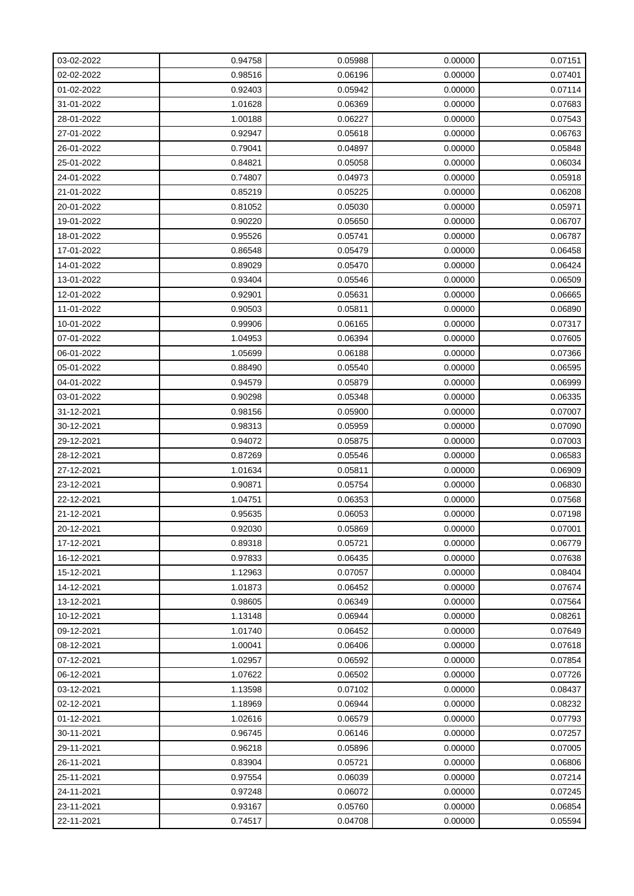| 03-02-2022 | 0.94758 | 0.05988 | 0.00000 | 0.07151 |
|------------|---------|---------|---------|---------|
| 02-02-2022 | 0.98516 | 0.06196 | 0.00000 | 0.07401 |
| 01-02-2022 | 0.92403 | 0.05942 | 0.00000 | 0.07114 |
| 31-01-2022 | 1.01628 | 0.06369 | 0.00000 | 0.07683 |
| 28-01-2022 | 1.00188 | 0.06227 | 0.00000 | 0.07543 |
| 27-01-2022 | 0.92947 | 0.05618 | 0.00000 | 0.06763 |
| 26-01-2022 | 0.79041 | 0.04897 | 0.00000 | 0.05848 |
| 25-01-2022 | 0.84821 | 0.05058 | 0.00000 | 0.06034 |
| 24-01-2022 | 0.74807 | 0.04973 | 0.00000 | 0.05918 |
| 21-01-2022 | 0.85219 | 0.05225 | 0.00000 | 0.06208 |
| 20-01-2022 | 0.81052 | 0.05030 | 0.00000 | 0.05971 |
| 19-01-2022 | 0.90220 | 0.05650 | 0.00000 | 0.06707 |
| 18-01-2022 | 0.95526 | 0.05741 | 0.00000 | 0.06787 |
| 17-01-2022 | 0.86548 | 0.05479 | 0.00000 | 0.06458 |
| 14-01-2022 | 0.89029 | 0.05470 | 0.00000 | 0.06424 |
| 13-01-2022 | 0.93404 | 0.05546 | 0.00000 | 0.06509 |
| 12-01-2022 | 0.92901 | 0.05631 | 0.00000 | 0.06665 |
| 11-01-2022 | 0.90503 | 0.05811 | 0.00000 | 0.06890 |
| 10-01-2022 | 0.99906 | 0.06165 | 0.00000 | 0.07317 |
| 07-01-2022 | 1.04953 | 0.06394 | 0.00000 | 0.07605 |
| 06-01-2022 | 1.05699 | 0.06188 | 0.00000 | 0.07366 |
| 05-01-2022 | 0.88490 | 0.05540 | 0.00000 | 0.06595 |
| 04-01-2022 | 0.94579 | 0.05879 | 0.00000 | 0.06999 |
| 03-01-2022 | 0.90298 | 0.05348 | 0.00000 | 0.06335 |
| 31-12-2021 | 0.98156 | 0.05900 | 0.00000 | 0.07007 |
| 30-12-2021 | 0.98313 | 0.05959 | 0.00000 | 0.07090 |
| 29-12-2021 | 0.94072 | 0.05875 | 0.00000 | 0.07003 |
| 28-12-2021 | 0.87269 | 0.05546 | 0.00000 | 0.06583 |
| 27-12-2021 | 1.01634 | 0.05811 | 0.00000 | 0.06909 |
| 23-12-2021 | 0.90871 | 0.05754 | 0.00000 | 0.06830 |
| 22-12-2021 | 1.04751 | 0.06353 | 0.00000 | 0.07568 |
| 21-12-2021 | 0.95635 | 0.06053 | 0.00000 | 0.07198 |
| 20-12-2021 | 0.92030 | 0.05869 | 0.00000 | 0.07001 |
| 17-12-2021 | 0.89318 | 0.05721 | 0.00000 | 0.06779 |
| 16-12-2021 | 0.97833 | 0.06435 | 0.00000 | 0.07638 |
| 15-12-2021 | 1.12963 | 0.07057 | 0.00000 | 0.08404 |
| 14-12-2021 | 1.01873 | 0.06452 | 0.00000 | 0.07674 |
| 13-12-2021 | 0.98605 | 0.06349 | 0.00000 | 0.07564 |
| 10-12-2021 | 1.13148 | 0.06944 | 0.00000 | 0.08261 |
| 09-12-2021 | 1.01740 | 0.06452 | 0.00000 | 0.07649 |
| 08-12-2021 | 1.00041 | 0.06406 | 0.00000 | 0.07618 |
| 07-12-2021 | 1.02957 | 0.06592 | 0.00000 | 0.07854 |
| 06-12-2021 | 1.07622 | 0.06502 | 0.00000 | 0.07726 |
| 03-12-2021 | 1.13598 | 0.07102 | 0.00000 | 0.08437 |
| 02-12-2021 | 1.18969 | 0.06944 | 0.00000 | 0.08232 |
| 01-12-2021 | 1.02616 | 0.06579 | 0.00000 | 0.07793 |
| 30-11-2021 | 0.96745 | 0.06146 | 0.00000 | 0.07257 |
| 29-11-2021 | 0.96218 | 0.05896 | 0.00000 | 0.07005 |
| 26-11-2021 | 0.83904 | 0.05721 | 0.00000 | 0.06806 |
| 25-11-2021 | 0.97554 | 0.06039 | 0.00000 | 0.07214 |
| 24-11-2021 | 0.97248 | 0.06072 | 0.00000 | 0.07245 |
| 23-11-2021 | 0.93167 | 0.05760 | 0.00000 | 0.06854 |
| 22-11-2021 | 0.74517 | 0.04708 | 0.00000 | 0.05594 |